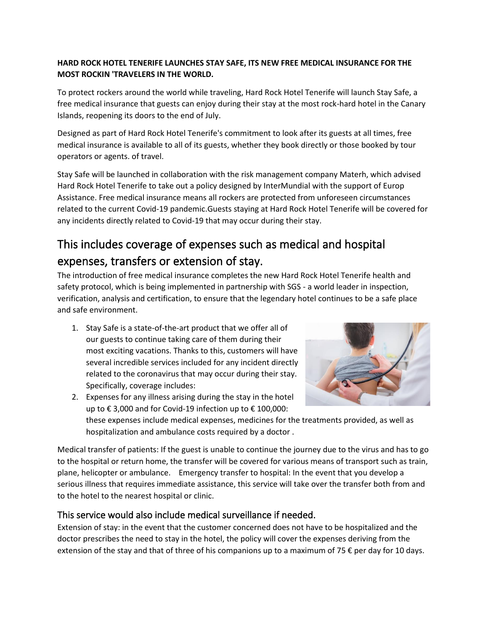## **HARD ROCK HOTEL TENERIFE LAUNCHES STAY SAFE, ITS NEW FREE MEDICAL INSURANCE FOR THE MOST ROCKIN 'TRAVELERS IN THE WORLD.**

To protect rockers around the world while traveling, Hard Rock Hotel Tenerife will launch Stay Safe, a free medical insurance that guests can enjoy during their stay at the most rock-hard hotel in the Canary Islands, reopening its doors to the end of July.

Designed as part of Hard Rock Hotel Tenerife's commitment to look after its guests at all times, free medical insurance is available to all of its guests, whether they book directly or those booked by tour operators or agents. of travel.

Stay Safe will be launched in collaboration with the risk management company Materh, which advised Hard Rock Hotel Tenerife to take out a policy designed by InterMundial with the support of Europ Assistance. Free medical insurance means all rockers are protected from unforeseen circumstances related to the current Covid-19 pandemic.Guests staying at Hard Rock Hotel Tenerife will be covered for any incidents directly related to Covid-19 that may occur during their stay.

## This includes coverage of expenses such as medical and hospital expenses, transfers or extension of stay.

The introduction of free medical insurance completes the new Hard Rock Hotel Tenerife health and safety protocol, which is being implemented in partnership with SGS - a world leader in inspection, verification, analysis and certification, to ensure that the legendary hotel continues to be a safe place and safe environment.

1. Stay Safe is a state-of-the-art product that we offer all of our guests to continue taking care of them during their most exciting vacations. Thanks to this, customers will have several incredible services included for any incident directly related to the coronavirus that may occur during their stay. Specifically, coverage includes:



2. Expenses for any illness arising during the stay in the hotel up to € 3,000 and for Covid-19 infection up to € 100,000:

these expenses include medical expenses, medicines for the treatments provided, as well as hospitalization and ambulance costs required by a doctor .

Medical transfer of patients: If the guest is unable to continue the journey due to the virus and has to go to the hospital or return home, the transfer will be covered for various means of transport such as train, plane, helicopter or ambulance. Emergency transfer to hospital: In the event that you develop a serious illness that requires immediate assistance, this service will take over the transfer both from and to the hotel to the nearest hospital or clinic.

## This service would also include medical surveillance if needed.

Extension of stay: in the event that the customer concerned does not have to be hospitalized and the doctor prescribes the need to stay in the hotel, the policy will cover the expenses deriving from the extension of the stay and that of three of his companions up to a maximum of 75  $\epsilon$  per day for 10 days.